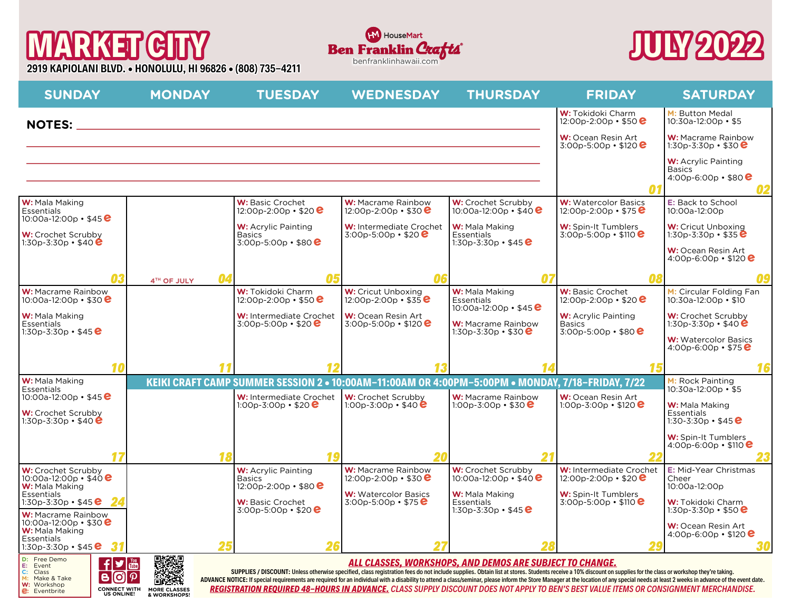# **MARKET CITY**

**Eventbrite CONNECT WITH MORE CLASSES**<br>
US ONLINE! & WORKSHOPS!

**2919 KAPIOLANI BLVD. • HONOLULU, HI 96826 • (808) 735-4211** benfranklinhawaii.com





| <b>SUNDAY</b>                                                                                                                                                                                                                                                                                                                                                                                                                                                                                                                                                                                                                                                                                                                                                                                                                                                                                    | <b>MONDAY</b>     | <b>TUESDAY</b>                                                                                   | <b>WEDNESDAY</b>                                         | <b>THURSDAY</b>                                                      | <b>FRIDAY</b>                                                            | <b>SATURDAY</b>                                                       |
|--------------------------------------------------------------------------------------------------------------------------------------------------------------------------------------------------------------------------------------------------------------------------------------------------------------------------------------------------------------------------------------------------------------------------------------------------------------------------------------------------------------------------------------------------------------------------------------------------------------------------------------------------------------------------------------------------------------------------------------------------------------------------------------------------------------------------------------------------------------------------------------------------|-------------------|--------------------------------------------------------------------------------------------------|----------------------------------------------------------|----------------------------------------------------------------------|--------------------------------------------------------------------------|-----------------------------------------------------------------------|
| <b>NOTES:</b>                                                                                                                                                                                                                                                                                                                                                                                                                                                                                                                                                                                                                                                                                                                                                                                                                                                                                    |                   | <u> 1989 - Johann Stein, mars an deus Amerikaansk kommunister (* 1950)</u>                       |                                                          |                                                                      | W: Tokidoki Charm<br>12:00p-2:00p • \$50 $e$                             | M: Button Medal<br>10:30a-12:00p · \$5                                |
|                                                                                                                                                                                                                                                                                                                                                                                                                                                                                                                                                                                                                                                                                                                                                                                                                                                                                                  |                   |                                                                                                  |                                                          |                                                                      | W: Ocean Resin Art<br>$3:00p - 5:00p \cdot $120$                         | <b>W:</b> Macrame Rainbow<br>1:30p-3:30p • \$30 $e$                   |
|                                                                                                                                                                                                                                                                                                                                                                                                                                                                                                                                                                                                                                                                                                                                                                                                                                                                                                  |                   |                                                                                                  |                                                          |                                                                      |                                                                          | <b>W:</b> Acrylic Painting<br><b>Basics</b><br>4:00p-6:00p • \$80 $e$ |
|                                                                                                                                                                                                                                                                                                                                                                                                                                                                                                                                                                                                                                                                                                                                                                                                                                                                                                  |                   |                                                                                                  |                                                          |                                                                      |                                                                          |                                                                       |
| W: Mala Making<br><b>Essentials</b><br>10:00a-12:00p • \$45 $e$                                                                                                                                                                                                                                                                                                                                                                                                                                                                                                                                                                                                                                                                                                                                                                                                                                  |                   | W: Basic Crochet<br>12:00p-2:00p $\cdot$ \$20 $\bullet$                                          | W: Macrame Rainbow<br>12:00p-2:00p • \$30 $\bm{e}$       | W: Crochet Scrubby<br>10:00a-12:00p • \$40 $e$                       | <b>W:</b> Watercolor Basics<br>12:00p-2:00p • \$75 $e$                   | E: Back to School<br>10:00a-12:00p                                    |
| W: Crochet Scrubby<br>1:30p-3:30p • \$40 $e$                                                                                                                                                                                                                                                                                                                                                                                                                                                                                                                                                                                                                                                                                                                                                                                                                                                     |                   | <b>W:</b> Acrylic Painting<br><b>Basics</b><br>$3:00p - 5:00p \cdot $80$                         | W: Intermediate Crochet<br>3:00p-5:00p • \$20 $e$        | W: Mala Making<br><b>Essentials</b><br>1:30p-3:30p • \$45 $e$        | <b>W:</b> Spin-It Tumblers<br>$3:00p - 5:00p \cdot $110$                 | <b>W:</b> Cricut Unboxing<br>1:30p-3:30p • \$35 $\bullet$             |
|                                                                                                                                                                                                                                                                                                                                                                                                                                                                                                                                                                                                                                                                                                                                                                                                                                                                                                  |                   |                                                                                                  |                                                          |                                                                      |                                                                          | <b>W:</b> Ocean Resin Art<br>4:00p-6:00p $\cdot$ \$120 $\bullet$      |
| Λ3                                                                                                                                                                                                                                                                                                                                                                                                                                                                                                                                                                                                                                                                                                                                                                                                                                                                                               | 04<br>4TH OF JULY | 05                                                                                               | ΛG                                                       |                                                                      |                                                                          |                                                                       |
| <b>W:</b> Macrame Rainbow<br>10:00a-12:00p • \$30 $\bullet$                                                                                                                                                                                                                                                                                                                                                                                                                                                                                                                                                                                                                                                                                                                                                                                                                                      |                   | W: Tokidoki Charm<br>12:00p-2:00p • \$50 $e$                                                     | <b>W:</b> Cricut Unboxing<br>$12:00p - 2:00p - $35e$     | W: Mala Making<br><b>Essentials</b><br>10:00a-12:00p • \$45 $e$      | W: Basic Crochet<br>12:00p-2:00p • \$20 $\bullet$                        | M: Circular Folding Fan<br>10:30a-12:00p • \$10                       |
| W: Mala Making<br><b>Essentials</b><br>1:30p-3:30p • \$45 $e$                                                                                                                                                                                                                                                                                                                                                                                                                                                                                                                                                                                                                                                                                                                                                                                                                                    |                   | W: Intermediate Crochet<br>3:00p-5:00p • \$20 $\bullet$                                          | W: Ocean Resin Art<br>$3:00p - 5:00p \cdot $120$         | <b>W:</b> Macrame Rainbow<br>1:30p-3:30p • \$30 $e$                  | <b>W:</b> Acrylic Painting<br><b>Basics</b><br>$3:00p - 5:00p \cdot $80$ | W: Crochet Scrubby<br>1:30p-3:30p • \$40 $e$                          |
|                                                                                                                                                                                                                                                                                                                                                                                                                                                                                                                                                                                                                                                                                                                                                                                                                                                                                                  |                   |                                                                                                  |                                                          |                                                                      |                                                                          | <b>W:</b> Watercolor Basics<br>4:00p-6:00p $\cdot$ \$75 $\bullet$     |
| 10                                                                                                                                                                                                                                                                                                                                                                                                                                                                                                                                                                                                                                                                                                                                                                                                                                                                                               |                   |                                                                                                  |                                                          |                                                                      |                                                                          | 16                                                                    |
| W: Mala Making                                                                                                                                                                                                                                                                                                                                                                                                                                                                                                                                                                                                                                                                                                                                                                                                                                                                                   |                   | KEIKI CRAFT CAMP SUMMER SESSION 2 . 10:00AM-11:00AM OR 4:00PM-5:00PM . MONDAY, 7/18-FRIDAY, 7/22 |                                                          |                                                                      |                                                                          | M: Rock Painting<br>10:30a-12:00p • \$5                               |
| <b>Essentials</b><br>10:00a-12:00p • \$45 $e$                                                                                                                                                                                                                                                                                                                                                                                                                                                                                                                                                                                                                                                                                                                                                                                                                                                    |                   | W: Intermediate Crochet<br>1:00p-3:00p • \$20 $\bullet$                                          | W: Crochet Scrubby<br>1:00p-3:00p $\cdot$ \$40 $\bullet$ | <b>W:</b> Macrame Rainbow<br>1:00p-3:00p • \$30 $e$                  | <b>W:</b> Ocean Resin Art<br>1:00p-3:00p $\cdot$ \$120 $\bullet$         | W: Mala Making                                                        |
| W: Crochet Scrubby<br>1:30p-3:30p • \$40 $e$                                                                                                                                                                                                                                                                                                                                                                                                                                                                                                                                                                                                                                                                                                                                                                                                                                                     |                   |                                                                                                  |                                                          |                                                                      |                                                                          | <b>Essentials</b><br>1:30-3:30p • \$45 $e$                            |
|                                                                                                                                                                                                                                                                                                                                                                                                                                                                                                                                                                                                                                                                                                                                                                                                                                                                                                  |                   |                                                                                                  |                                                          |                                                                      |                                                                          | W: Spin-It Tumblers<br>4:00p-6:00p $\cdot$ \$110 $\bullet$            |
| W: Crochet Scrubby                                                                                                                                                                                                                                                                                                                                                                                                                                                                                                                                                                                                                                                                                                                                                                                                                                                                               | 18                | 19<br><b>W:</b> Acrylic Painting                                                                 | W: Macrame Rainbow                                       |                                                                      | W: Intermediate Crochet                                                  | <b>E:</b> Mid-Year Christmas                                          |
| 10:00a-12:00p • \$40 <b>e</b><br>W: Mala Making                                                                                                                                                                                                                                                                                                                                                                                                                                                                                                                                                                                                                                                                                                                                                                                                                                                  |                   | <b>Basics</b><br>12:00p-2:00p • \$80 $e$                                                         | 12:00p-2:00p • \$30 $\bm{e}$                             | W: Crochet Scrubby<br>10:00a-12:00p · \$40 <b>e</b>                  | 12:00p-2:00p $\cdot$ \$20 $\bullet$                                      | Cheer<br>10:00a-12:00p                                                |
| <b>Essentials</b><br>1:30p-3:30p • \$45 $\bullet$<br><b>W:</b> Macrame Rainbow                                                                                                                                                                                                                                                                                                                                                                                                                                                                                                                                                                                                                                                                                                                                                                                                                   |                   | <b>W:</b> Basic Crochet<br>3:00p-5:00p • \$20 $\bullet$                                          | <b>W:</b> Watercolor Basics<br>$3:00p - 5:00p \cdot $75$ | <b>W:</b> Mala Making<br><b>Essentials</b><br>1:30p-3:30p • \$45 $e$ | W: Spin-It Tumblers<br>$3:00p - 5:00p - $110$                            | <b>W:</b> Tokidoki Charm<br>1:30p-3:30p • \$50 $e$                    |
| 10:00a-12:00p · \$30 <b>e</b><br>W: Mala Making<br><b>Essentials</b>                                                                                                                                                                                                                                                                                                                                                                                                                                                                                                                                                                                                                                                                                                                                                                                                                             |                   |                                                                                                  |                                                          |                                                                      |                                                                          | <b>W:</b> Ocean Resin Art<br>4:00p-6:00p • \$120 $\bullet$            |
| 1:30p-3:30p • \$45 $e$                                                                                                                                                                                                                                                                                                                                                                                                                                                                                                                                                                                                                                                                                                                                                                                                                                                                           | 25                |                                                                                                  |                                                          |                                                                      |                                                                          |                                                                       |
| 回场恐鳥<br>D: Free Demo<br>$\mathbf{f}$ $\mathbf{y}$<br>ALL CLASSES, WORKSHOPS, AND DEMOS ARE SUBJECT TO CHANGE.<br>E: Event<br>SUPPLIES / DISCOUNT: Unless otherwise specified, class registration fees do not include supplies. Obtain list at stores. Students receive a 10% discount on supplies for the class or workshop they're taking.<br>C:<br>Class<br>$\vert$ e<br>(ဝ)<br>$ {\boldsymbol{\mathcal{P}}}$<br>Make & Take<br>M:<br>ADVANCE NOTICE: If special requirements are required for an individual with a disability to attend a class/seminar, please inform the Store Manager at the location of any special needs at least 2 weeks in advance of the ev<br>W: Workshop<br>REGISTRATION REQUIRED 48-HOURS IN ADVANCE. CLASS SUPPLY DISCOUNT DOES NOT APPLY TO BEN'S BEST VALUE ITEMS OR CONSIGNMENT MERCHANDISE.<br><b>CONNECT WITH</b><br><b>MORE CLASSES</b><br>$e$ : Eventbrite |                   |                                                                                                  |                                                          |                                                                      |                                                                          |                                                                       |

*REGISTRATION REQUIRED 48-HOURS IN ADVANCE. CLASS SUPPLY DISCOUNT DOES NOT APPLY TO BEN'S BEST VALUE ITEMS OR CONSIGNMENT MERCHANDISE.*